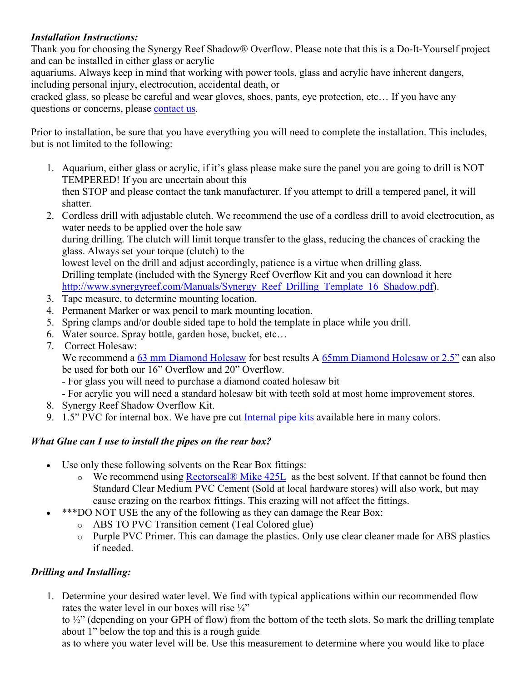### *Installation Instructions:*

Thank you for choosing the Synergy Reef Shadow® Overflow. Please note that this is a Do-It-Yourself project and can be installed in either glass or acrylic

aquariums. Always keep in mind that working with power tools, glass and acrylic have inherent dangers, including personal injury, electrocution, accidental death, or

cracked glass, so please be careful and wear gloves, shoes, pants, eye protection, etc… If you have any questions or concerns, please [contact us.](https://synergyreef.com/contact-us/)

Prior to installation, be sure that you have everything you will need to complete the installation. This includes, but is not limited to the following:

- 1. Aquarium, either glass or acrylic, if it's glass please make sure the panel you are going to drill is NOT TEMPERED! If you are uncertain about this then STOP and please contact the tank manufacturer. If you attempt to drill a tempered panel, it will shatter.
- 2. Cordless drill with adjustable clutch. We recommend the use of a cordless drill to avoid electrocution, as water needs to be applied over the hole saw

during drilling. The clutch will limit torque transfer to the glass, reducing the chances of cracking the glass. Always set your torque (clutch) to the

lowest level on the drill and adjust accordingly, patience is a virtue when drilling glass. Drilling template (included with the Synergy Reef Overflow Kit and you can download it here [http://www.synergyreef.com/Manuals/Synergy\\_Reef\\_Drilling\\_Template\\_16\\_Shadow.pdf\)](http://www.synergyreef.com/Manuals/Synergy_Reef_Drilling_Template_16_Shadow.pdf).

- 3. Tape measure, to determine mounting location.
- 4. Permanent Marker or wax pencil to mark mounting location.
- 5. Spring clamps and/or double sided tape to hold the template in place while you drill.
- 6. Water source. Spray bottle, garden hose, bucket, etc…
- 7. Correct Holesaw:

We recommend a [63 mm Diamond Holesaw](https://synergyreef.com/product/63mm-diamond-bit/) for best results A [65mm Diamond Holesaw or 2.5"](https://synergyreef.com/product/65mm-diamond-holesaw-bit/) can also be used for both our 16" Overflow and 20" Overflow.

- For glass you will need to purchase a diamond coated holesaw bit
- For acrylic you will need a standard holesaw bit with teeth sold at most home improvement stores.
- 8. Synergy Reef Shadow Overflow Kit.
- 9. 1.5" PVC for internal box. We have pre cut [Internal pipe kits](https://synergyreef.com/product/overflow-internal-pipe-kit-1-5-pvc-red/) available here in many colors.

## *What Glue can I use to install the pipes on the rear box?*

- Use only these following solvents on the Rear Box fittings:
	- o We recommend using [Rectorseal® Mike 425L](https://www.amazon.com/Rectorseal-55970-Pint-425L-Multi-Purpose/dp/B0041OICKG?SubscriptionId=AKIAILSHYYTFIVPWUY6Q&tag=duckduckgo-d-20&linkCode=xm2&camp=2025&creative=165953&creativeASIN=B0041OICKG) as the best solvent. If that cannot be found then Standard Clear Medium PVC Cement (Sold at local hardware stores) will also work, but may cause crazing on the rearbox fittings. This crazing will not affect the fittings.
- \*\*\*DO NOT USE the any of the following as they can damage the Rear Box:
	- o ABS TO PVC Transition cement (Teal Colored glue)
	- o Purple PVC Primer. This can damage the plastics. Only use clear cleaner made for ABS plastics if needed.

## *Drilling and Installing:*

1. Determine your desired water level. We find with typical applications within our recommended flow rates the water level in our boxes will rise ¼"

to ½" (depending on your GPH of flow) from the bottom of the teeth slots. So mark the drilling template about 1" below the top and this is a rough guide

as to where you water level will be. Use this measurement to determine where you would like to place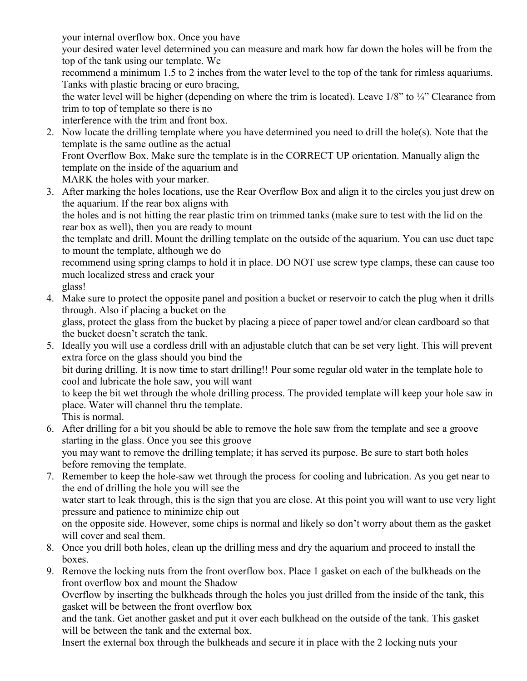your internal overflow box. Once you have your desired water level determined you can measure and mark how far down the holes will be from the top of the tank using our template. We recommend a minimum 1.5 to 2 inches from the water level to the top of the tank for rimless aquariums. Tanks with plastic bracing or euro bracing, the water level will be higher (depending on where the trim is located). Leave 1/8" to ¼" Clearance from trim to top of template so there is no

interference with the trim and front box.

- 2. Now locate the drilling template where you have determined you need to drill the hole(s). Note that the template is the same outline as the actual Front Overflow Box. Make sure the template is in the CORRECT UP orientation. Manually align the template on the inside of the aquarium and MARK the holes with your marker.
- 3. After marking the holes locations, use the Rear Overflow Box and align it to the circles you just drew on the aquarium. If the rear box aligns with the holes and is not hitting the rear plastic trim on trimmed tanks (make sure to test with the lid on the rear box as well), then you are ready to mount the template and drill. Mount the drilling template on the outside of the aquarium. You can use duct tape to mount the template, although we do recommend using spring clamps to hold it in place. DO NOT use screw type clamps, these can cause too much localized stress and crack your glass!
- 4. Make sure to protect the opposite panel and position a bucket or reservoir to catch the plug when it drills through. Also if placing a bucket on the glass, protect the glass from the bucket by placing a piece of paper towel and/or clean cardboard so that the bucket doesn't scratch the tank.
- 5. Ideally you will use a cordless drill with an adjustable clutch that can be set very light. This will prevent extra force on the glass should you bind the bit during drilling. It is now time to start drilling!! Pour some regular old water in the template hole to cool and lubricate the hole saw, you will want to keep the bit wet through the whole drilling process. The provided template will keep your hole saw in place. Water will channel thru the template.

This is normal.

- 6. After drilling for a bit you should be able to remove the hole saw from the template and see a groove starting in the glass. Once you see this groove you may want to remove the drilling template; it has served its purpose. Be sure to start both holes before removing the template.
- 7. Remember to keep the hole-saw wet through the process for cooling and lubrication. As you get near to the end of drilling the hole you will see the water start to leak through, this is the sign that you are close. At this point you will want to use very light pressure and patience to minimize chip out on the opposite side. However, some chips is normal and likely so don't worry about them as the gasket will cover and seal them.
- 8. Once you drill both holes, clean up the drilling mess and dry the aquarium and proceed to install the boxes.
- 9. Remove the locking nuts from the front overflow box. Place 1 gasket on each of the bulkheads on the front overflow box and mount the Shadow

Overflow by inserting the bulkheads through the holes you just drilled from the inside of the tank, this gasket will be between the front overflow box

and the tank. Get another gasket and put it over each bulkhead on the outside of the tank. This gasket will be between the tank and the external box.

Insert the external box through the bulkheads and secure it in place with the 2 locking nuts your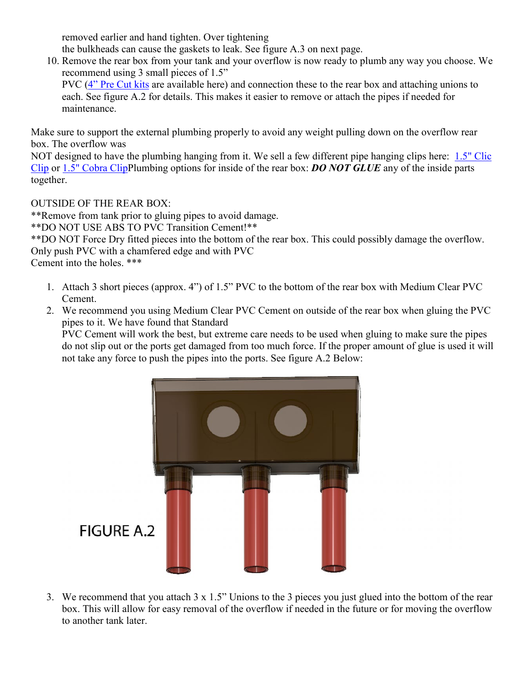removed earlier and hand tighten. Over tightening

the bulkheads can cause the gaskets to leak. See figure A.3 on next page.

10. Remove the rear box from your tank and your overflow is now ready to plumb any way you choose. We recommend using 3 small pieces of 1.5"

PVC [\(4" Pre Cut kits](https://synergyreef.com/product/overflow-external-pipe-kit-1-5-pvc-red/) are available here) and connection these to the rear box and attaching unions to each. See figure A.2 for details. This makes it easier to remove or attach the pipes if needed for maintenance.

Make sure to support the external plumbing properly to avoid any weight pulling down on the overflow rear box. The overflow was

NOT designed to have the plumbing hanging from it. We sell a few different pipe hanging clips here: [1.5" Clic](https://synergyreef.com/product/1-5-clic-clip-for-pvc-support/)  [Clip](https://synergyreef.com/product/1-5-clic-clip-for-pvc-support/) or [1.5" Cobra ClipP](https://synergyreef.com/product/1-5-cobra-clip/)lumbing options for inside of the rear box: *DO NOT GLUE* any of the inside parts together.

OUTSIDE OF THE REAR BOX:

\*\*Remove from tank prior to gluing pipes to avoid damage.

\*\*DO NOT USE ABS TO PVC Transition Cement!\*\*

\*\*DO NOT Force Dry fitted pieces into the bottom of the rear box. This could possibly damage the overflow. Only push PVC with a chamfered edge and with PVC

Cement into the holes. \*\*\*

- 1. Attach 3 short pieces (approx. 4") of 1.5" PVC to the bottom of the rear box with Medium Clear PVC Cement.
- 2. We recommend you using Medium Clear PVC Cement on outside of the rear box when gluing the PVC pipes to it. We have found that Standard

PVC Cement will work the best, but extreme care needs to be used when gluing to make sure the pipes do not slip out or the ports get damaged from too much force. If the proper amount of glue is used it will [not take any force to push the pipes into the ports. See figure A.2 Below:](https://synergyreef.com/wp-content/uploads/Shadow-16-External-Pipes-Figure-A.2.png)



3. We recommend that you attach 3 x 1.5" Unions to the 3 pieces you just glued into the bottom of the rear box. This will allow for easy removal of the overflow if needed in the future or for moving the overflow to another tank later.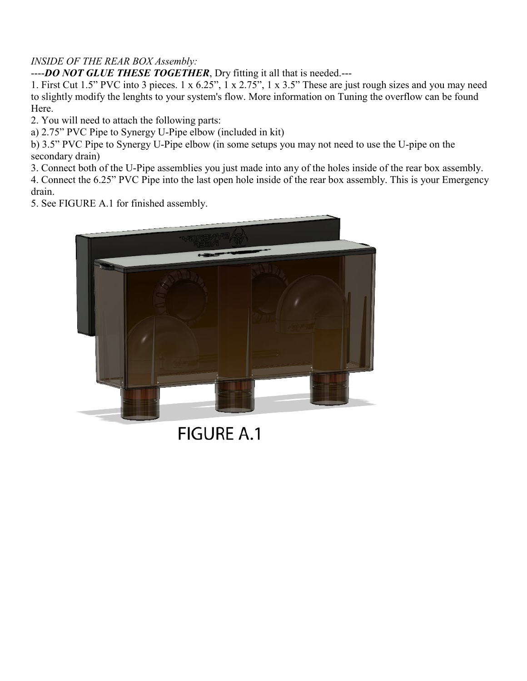# *INSIDE OF THE REAR BOX Assembly:*

----*DO NOT GLUE THESE TOGETHER*, Dry fitting it all that is needed.---

1. First Cut 1.5" PVC into 3 pieces. 1 x 6.25", 1 x 2.75", 1 x 3.5" These are just rough sizes and you may need to slightly modify the lenghts to your system's flow. More information on Tuning the overflow can be found Here.

2. You will need to attach the following parts:

a) 2.75" PVC Pipe to Synergy U-Pipe elbow (included in kit)

b) 3.5" PVC Pipe to Synergy U-Pipe elbow (in some setups you may not need to use the U-pipe on the secondary drain)

3. Connect both of the U-Pipe assemblies you just made into any of the holes inside of the rear box assembly. 4. Connect the 6.25" PVC Pipe into the last open hole inside of the rear box assembly. This is your Emergency drain.

[5. See FIGURE A.1 for finished assembly.](https://synergyreef.com/wp-content/uploads/Shadow-16-rear-box-Pipes-FigureA1.png)



**FIGURE A.1**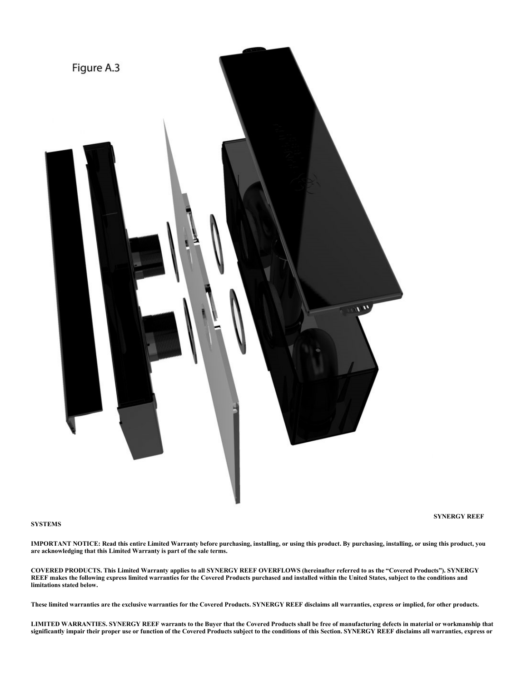

#### **SYSTEMS**

**SYNERGY REEF** 

**IMPORTANT NOTICE: Read this entire Limited Warranty before purchasing, installing, or using this product. By purchasing, installing, or using this product, you are acknowledging that this Limited Warranty is part of the sale terms.**

**COVERED PRODUCTS. This Limited Warranty applies to all SYNERGY REEF OVERFLOWS (hereinafter referred to as the "Covered Products"). SYNERGY REEF makes the following express limited warranties for the Covered Products purchased and installed within the United States, subject to the conditions and limitations stated below.**

**These limited warranties are the exclusive warranties for the Covered Products. SYNERGY REEF disclaims all warranties, express or implied, for other products.**

**LIMITED WARRANTIES. SYNERGY REEF warrants to the Buyer that the Covered Products shall be free of manufacturing defects in material or workmanship that significantly impair their proper use or function of the Covered Products subject to the conditions of this Section. SYNERGY REEF disclaims all warranties, express or**